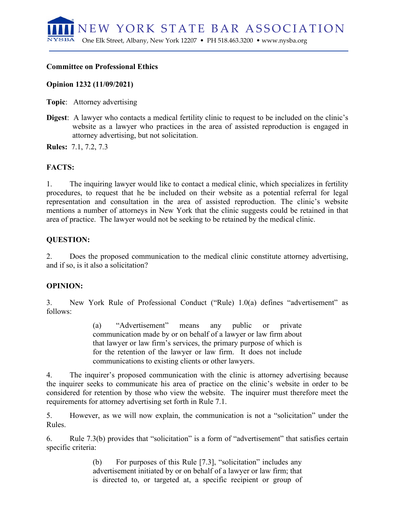NEW YORK STATE BAR ASSOCIATION NYSBA One Elk Street, Albany, New York 12207 • PH 518.463.3200 • www.nysba.org

#### **Committee on Professional Ethics**

#### **Opinion 1232 (11/09/2021)**

**Topic**: Attorney advertising

**Digest**: A lawyer who contacts a medical fertility clinic to request to be included on the clinic's website as a lawyer who practices in the area of assisted reproduction is engaged in attorney advertising, but not solicitation.

**Rules:** 7.1, 7.2, 7.3

## **FACTS:**

1. The inquiring lawyer would like to contact a medical clinic, which specializes in fertility procedures, to request that he be included on their website as a potential referral for legal representation and consultation in the area of assisted reproduction. The clinic's website mentions a number of attorneys in New York that the clinic suggests could be retained in that area of practice. The lawyer would not be seeking to be retained by the medical clinic.

## **QUESTION:**

2. Does the proposed communication to the medical clinic constitute attorney advertising, and if so, is it also a solicitation?

## **OPINION:**

3. New York Rule of Professional Conduct ("Rule) 1.0(a) defines "advertisement" as follows:

> (a) "Advertisement" means any public or private communication made by or on behalf of a lawyer or law firm about that lawyer or law firm's services, the primary purpose of which is for the retention of the lawyer or law firm. It does not include communications to existing clients or other lawyers.

4. The inquirer's proposed communication with the clinic is attorney advertising because the inquirer seeks to communicate his area of practice on the clinic's website in order to be considered for retention by those who view the website. The inquirer must therefore meet the requirements for attorney advertising set forth in Rule 7.1.

5. However, as we will now explain, the communication is not a "solicitation" under the Rules.

6. Rule 7.3(b) provides that "solicitation" is a form of "advertisement" that satisfies certain specific criteria:

> (b) For purposes of this Rule [7.3], "solicitation" includes any advertisement initiated by or on behalf of a lawyer or law firm; that is directed to, or targeted at, a specific recipient or group of